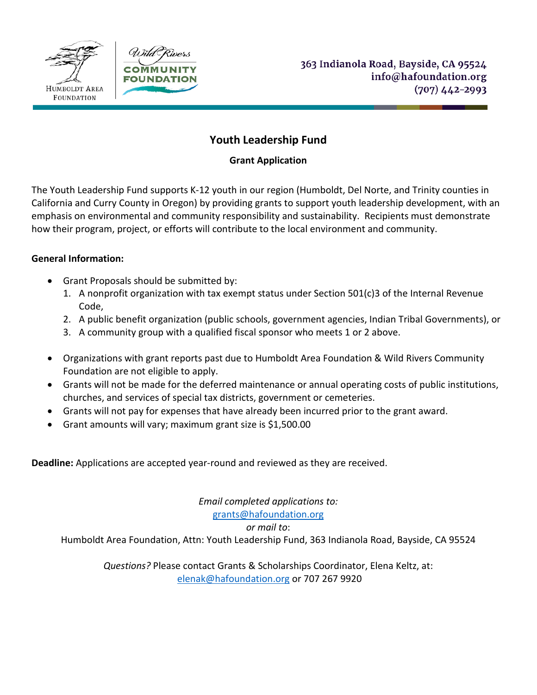



# **Youth Leadership Fund**

### **Grant Application**

The Youth Leadership Fund supports K-12 youth in our region (Humboldt, Del Norte, and Trinity counties in California and Curry County in Oregon) by providing grants to support youth leadership development, with an emphasis on environmental and community responsibility and sustainability. Recipients must demonstrate how their program, project, or efforts will contribute to the local environment and community.

### **General Information:**

- Grant Proposals should be submitted by:
	- 1. A nonprofit organization with tax exempt status under Section 501(c)3 of the Internal Revenue Code,
	- 2. A public benefit organization (public schools, government agencies, Indian Tribal Governments), or
	- 3. A community group with a qualified fiscal sponsor who meets 1 or 2 above.
- Organizations with grant reports past due to Humboldt Area Foundation & Wild Rivers Community Foundation are not eligible to apply.
- Grants will not be made for the deferred maintenance or annual operating costs of public institutions, churches, and services of special tax districts, government or cemeteries.
- Grants will not pay for expenses that have already been incurred prior to the grant award.
- Grant amounts will vary; maximum grant size is \$1,500.00

**Deadline:** Applications are accepted year-round and reviewed as they are received.

*Email completed applications to:*

[grants@hafoundation.org](mailto:grants@hafoundation.org)

*or mail to*:

Humboldt Area Foundation, Attn: Youth Leadership Fund, 363 Indianola Road, Bayside, CA 95524

*Questions?* Please contact Grants & Scholarships Coordinator, Elena Keltz, at: [elenak@hafoundation.org](mailto:elenak@hafoundation.org) or 707 267 9920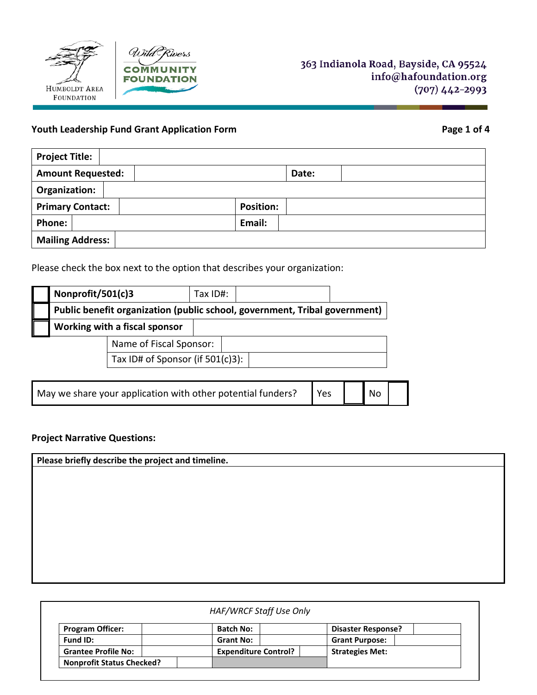



# **Youth Leadership Fund Grant Application Form Page 1 of 4**

| <b>Project Title:</b>    |                  |
|--------------------------|------------------|
| <b>Amount Requested:</b> | Date:            |
| Organization:            |                  |
| <b>Primary Contact:</b>  | <b>Position:</b> |
| <b>Phone:</b>            | Email:           |
| <b>Mailing Address:</b>  |                  |

Please check the box next to the option that describes your organization:

| Nonprofit/501(c)3                                                          |                                     | Tax $ID#$ : |  |  |  |
|----------------------------------------------------------------------------|-------------------------------------|-------------|--|--|--|
| Public benefit organization (public school, government, Tribal government) |                                     |             |  |  |  |
|                                                                            | Working with a fiscal sponsor       |             |  |  |  |
| Name of Fiscal Sponsor:                                                    |                                     |             |  |  |  |
|                                                                            | Tax ID# of Sponsor (if $501(c)3$ ): |             |  |  |  |

| May we share your application with other potential funders? $\Box$ Yes |  |  | $\bigwedge$ No |  |  |
|------------------------------------------------------------------------|--|--|----------------|--|--|
|------------------------------------------------------------------------|--|--|----------------|--|--|

# **Project Narrative Questions:**

| Please briefly describe the project and timeline. |  |  |  |  |
|---------------------------------------------------|--|--|--|--|
|                                                   |  |  |  |  |
|                                                   |  |  |  |  |
|                                                   |  |  |  |  |
|                                                   |  |  |  |  |
|                                                   |  |  |  |  |
|                                                   |  |  |  |  |
|                                                   |  |  |  |  |
|                                                   |  |  |  |  |

| <b>Program Officer:</b>          | <b>Batch No:</b>            | <b>Disaster Response?</b> |
|----------------------------------|-----------------------------|---------------------------|
| Fund ID:                         | <b>Grant No:</b>            | <b>Grant Purpose:</b>     |
| <b>Grantee Profile No:</b>       | <b>Expenditure Control?</b> | <b>Strategies Met:</b>    |
| <b>Nonprofit Status Checked?</b> |                             |                           |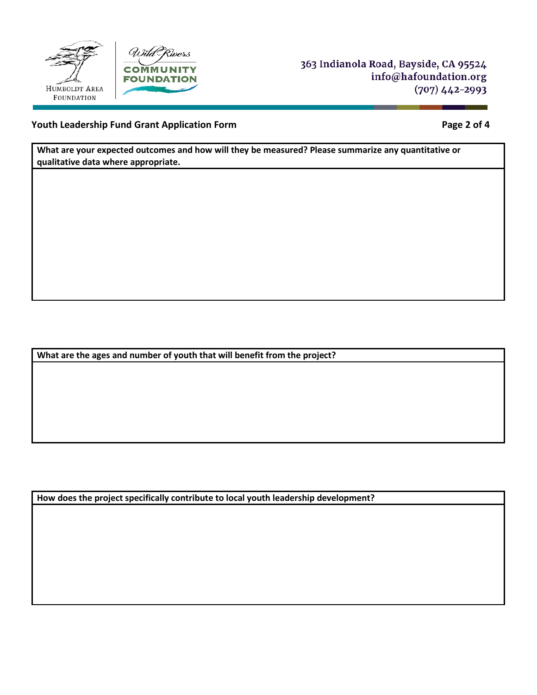



363 Indianola Road, Bayside, CA 95524 info@hafoundation.org  $(707)$  442-2993

### **Youth Leadership Fund Grant Application Form Page 2 of 4**

**What are your expected outcomes and how will they be measured? Please summarize any quantitative or qualitative data where appropriate.** 

**What are the ages and number of youth that will benefit from the project?** 

**How does the project specifically contribute to local youth leadership development?**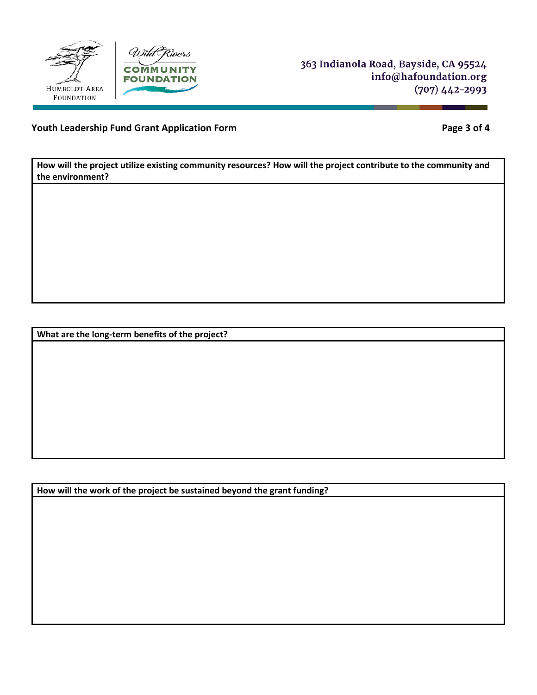



363 Indianola Road, Bayside, CA 95524 info@hafoundation.org  $(707)$  442-2993

# **Youth Leadership Fund Grant Application Form Page 3 of 4**

**How will the project utilize existing community resources? How will the project contribute to the community and the environment?** 

**What are the long-term benefits of the project?** 

**How will the work of the project be sustained beyond the grant funding?**